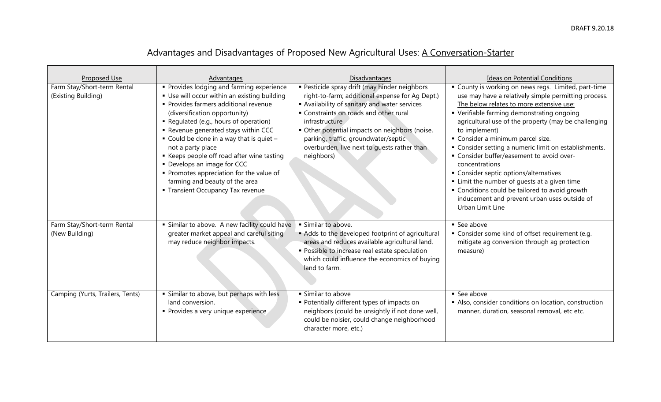|  | Advantages and Disadvantages of Proposed New Agricultural Uses: A Conversation-Starter |
|--|----------------------------------------------------------------------------------------|
|  |                                                                                        |

| Proposed Use<br>Farm Stay/Short-term Rental<br>(Existing Building) | Advantages<br>Provides lodging and farming experience<br>• Use will occur within an existing building<br>· Provides farmers additional revenue<br>(diversification opportunity)<br>Regulated (e.g., hours of operation)<br>Revenue generated stays within CCC<br>$\bullet$ Could be done in a way that is quiet -<br>not a party place<br>■ Keeps people off road after wine tasting<br>• Develops an image for CCC<br>• Promotes appreciation for the value of<br>farming and beauty of the area<br>• Transient Occupancy Tax revenue | Disadvantages<br>· Pesticide spray drift (may hinder neighbors<br>right-to-farm; additional expense for Ag Dept.)<br>Availability of sanitary and water services<br>Constraints on roads and other rural<br>infrastructure<br>• Other potential impacts on neighbors (noise,<br>parking, traffic, groundwater/septic<br>overburden, live next to quests rather than<br>neighbors) | <b>Ideas on Potential Conditions</b><br>County is working on news regs. Limited, part-time<br>use may have a relatively simple permitting process.<br>The below relates to more extensive use:<br>• Verifiable farming demonstrating ongoing<br>agricultural use of the property (may be challenging<br>to implement)<br>• Consider a minimum parcel size.<br>• Consider setting a numeric limit on establishments.<br>• Consider buffer/easement to avoid over-<br>concentrations<br>• Consider septic options/alternatives<br>• Limit the number of guests at a given time<br>• Conditions could be tailored to avoid growth<br>inducement and prevent urban uses outside of<br>Urban Limit Line |
|--------------------------------------------------------------------|----------------------------------------------------------------------------------------------------------------------------------------------------------------------------------------------------------------------------------------------------------------------------------------------------------------------------------------------------------------------------------------------------------------------------------------------------------------------------------------------------------------------------------------|-----------------------------------------------------------------------------------------------------------------------------------------------------------------------------------------------------------------------------------------------------------------------------------------------------------------------------------------------------------------------------------|----------------------------------------------------------------------------------------------------------------------------------------------------------------------------------------------------------------------------------------------------------------------------------------------------------------------------------------------------------------------------------------------------------------------------------------------------------------------------------------------------------------------------------------------------------------------------------------------------------------------------------------------------------------------------------------------------|
| Farm Stay/Short-term Rental<br>(New Building)                      | • Similar to above. A new facility could have<br>greater market appeal and careful siting<br>may reduce neighbor impacts.                                                                                                                                                                                                                                                                                                                                                                                                              | · Similar to above.<br>Adds to the developed footprint of agricultural<br>areas and reduces available agricultural land.<br>· Possible to increase real estate speculation<br>which could influence the economics of buying<br>land to farm.                                                                                                                                      | • See above<br>• Consider some kind of offset requirement (e.g.<br>mitigate ag conversion through ag protection<br>measure)                                                                                                                                                                                                                                                                                                                                                                                                                                                                                                                                                                        |
| Camping (Yurts, Trailers, Tents)                                   | · Similar to above, but perhaps with less<br>land conversion.<br>• Provides a very unique experience                                                                                                                                                                                                                                                                                                                                                                                                                                   | · Similar to above<br>• Potentially different types of impacts on<br>neighbors (could be unsightly if not done well,<br>could be noisier, could change neighborhood<br>character more, etc.)                                                                                                                                                                                      | • See above<br>Also, consider conditions on location, construction<br>manner, duration, seasonal removal, etc etc.                                                                                                                                                                                                                                                                                                                                                                                                                                                                                                                                                                                 |